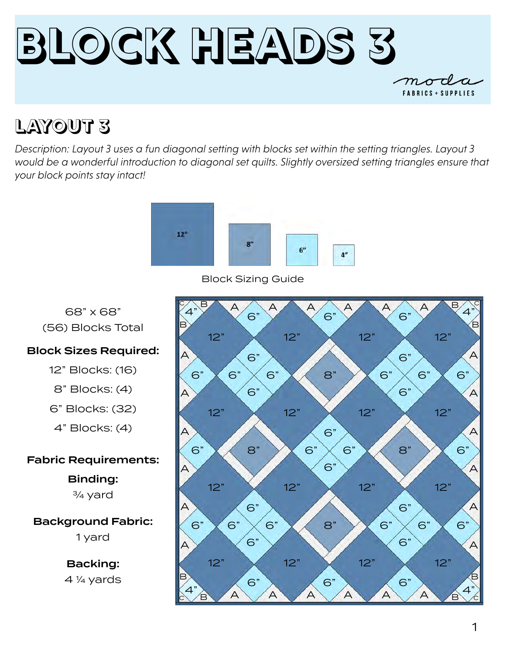

## **LAYOUT 3**

*Description: Layout 3 uses a fun diagonal setting with blocks set within the setting triangles. Layout 3 would be a wonderful introduction to diagonal set quilts. Slightly oversized setting triangles ensure that your block points stay intact!* 



Block Sizing Guide

68" x 68"

(56) Blocks Total

### Block Sizes Required:

12" Blocks: (16)

8" Blocks: (4)

6" Blocks: (32)

4" Blocks: (4)

Fabric Requirements:

### Binding:

¾ yard

### Background Fabric: 1 yard

Backing: 4 1/4 yards

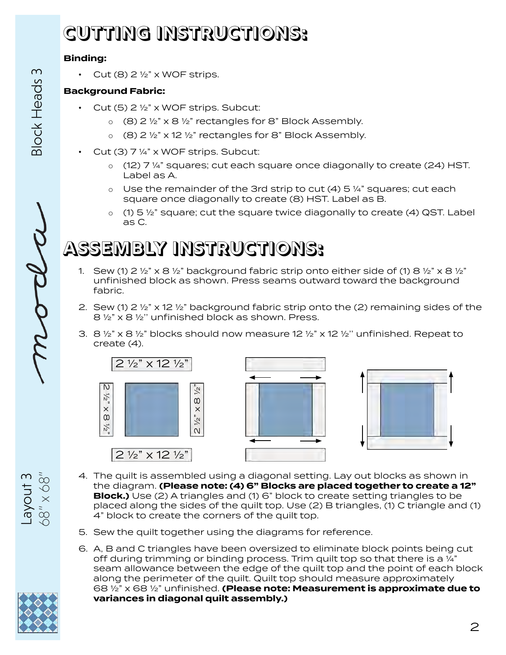# **CUTTING INSTRUCTIONS:**

#### **Binding:**

• Cut  $(8)$  2  $\frac{1}{2}$ " x WOF strips.

### **Background Fabric:**

- Cut (5)  $2 \frac{1}{2}$ " x WOF strips. Subcut:
	- o (8) 2 ½" x 8 ½" rectangles for 8" Block Assembly.
	- $\circ$  (8) 2 1/2" x 12 1/2" rectangles for 8" Block Assembly.
- Cut (3) 7 ¼" x WOF strips. Subcut:
	- $\circ$  (12) 7 ¼" squares; cut each square once diagonally to create (24) HST. Label as A.
	- $\circ$  Use the remainder of the 3rd strip to cut (4) 5 ¼" squares; cut each square once diagonally to create (8) HST. Label as B.
	- $\circ$  (1) 5  $\frac{1}{2}$ " square; cut the square twice diagonally to create (4) QST. Label as C.

## **ASSEMBLY INSTRUCTIONS:**

- 1. Sew (1) 2  $\frac{1}{2}$   $\frac{1}{2}$  x 8  $\frac{1}{2}$  background fabric strip onto either side of (1) 8  $\frac{1}{2}$  x 8  $\frac{1}{2}$ unfinished block as shown. Press seams outward toward the background fabric.
- 2. Sew (1)  $2\frac{1}{2}$  x 12  $\frac{1}{2}$  background fabric strip onto the (2) remaining sides of the 8 ½" x 8 ½'' unfinished block as shown. Press.
- 3. 8  $\frac{1}{2}$  x 8  $\frac{1}{2}$  blocks should now measure 12  $\frac{1}{2}$  x 12  $\frac{1}{2}$  unfinished. Repeat to create (4).



- 4. The quilt is assembled using a diagonal setting. Lay out blocks as shown in the diagram. **(Please note: (4) 6" Blocks are placed together to create a 12" Block.)** Use (2) A triangles and (1) 6" block to create setting triangles to be placed along the sides of the quilt top. Use (2) B triangles, (1) C triangle and (1) 4" block to create the corners of the quilt top.
- 5. Sew the quilt together using the diagrams for reference.
- 6. A, B and C triangles have been oversized to eliminate block points being cut off during trimming or binding process. Trim quilt top so that there is a  $\frac{1}{4}$ " seam allowance between the edge of the quilt top and the point of each block along the perimeter of the quilt. Quilt top should measure approximately 68 ½" x 68 ½" unfinished. **(Please note: Measurement is approximate due to variances in diagonal quilt assembly.)**



Layout 3<br> $68" \times 68"$